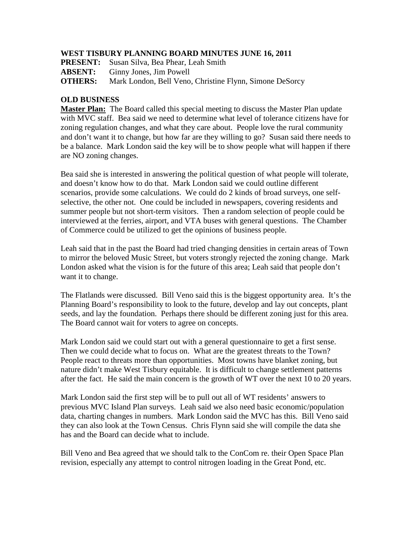## **WEST TISBURY PLANNING BOARD MINUTES JUNE 16, 2011**

**PRESENT:** Susan Silva, Bea Phear, Leah Smith

**ABSENT:** Ginny Jones, Jim Powell

**OTHERS:** Mark London, Bell Veno, Christine Flynn, Simone DeSorcy

## **OLD BUSINESS**

**Master Plan:** The Board called this special meeting to discuss the Master Plan update with MVC staff. Bea said we need to determine what level of tolerance citizens have for zoning regulation changes, and what they care about. People love the rural community and don't want it to change, but how far are they willing to go? Susan said there needs to be a balance. Mark London said the key will be to show people what will happen if there are NO zoning changes.

Bea said she is interested in answering the political question of what people will tolerate, and doesn't know how to do that. Mark London said we could outline different scenarios, provide some calculations. We could do 2 kinds of broad surveys, one selfselective, the other not. One could be included in newspapers, covering residents and summer people but not short-term visitors. Then a random selection of people could be interviewed at the ferries, airport, and VTA buses with general questions. The Chamber of Commerce could be utilized to get the opinions of business people.

Leah said that in the past the Board had tried changing densities in certain areas of Town to mirror the beloved Music Street, but voters strongly rejected the zoning change. Mark London asked what the vision is for the future of this area; Leah said that people don't want it to change.

The Flatlands were discussed. Bill Veno said this is the biggest opportunity area. It's the Planning Board's responsibility to look to the future, develop and lay out concepts, plant seeds, and lay the foundation. Perhaps there should be different zoning just for this area. The Board cannot wait for voters to agree on concepts.

Mark London said we could start out with a general questionnaire to get a first sense. Then we could decide what to focus on. What are the greatest threats to the Town? People react to threats more than opportunities. Most towns have blanket zoning, but nature didn't make West Tisbury equitable. It is difficult to change settlement patterns after the fact. He said the main concern is the growth of WT over the next 10 to 20 years.

Mark London said the first step will be to pull out all of WT residents' answers to previous MVC Island Plan surveys. Leah said we also need basic economic/population data, charting changes in numbers. Mark London said the MVC has this. Bill Veno said they can also look at the Town Census. Chris Flynn said she will compile the data she has and the Board can decide what to include.

Bill Veno and Bea agreed that we should talk to the ConCom re. their Open Space Plan revision, especially any attempt to control nitrogen loading in the Great Pond, etc.